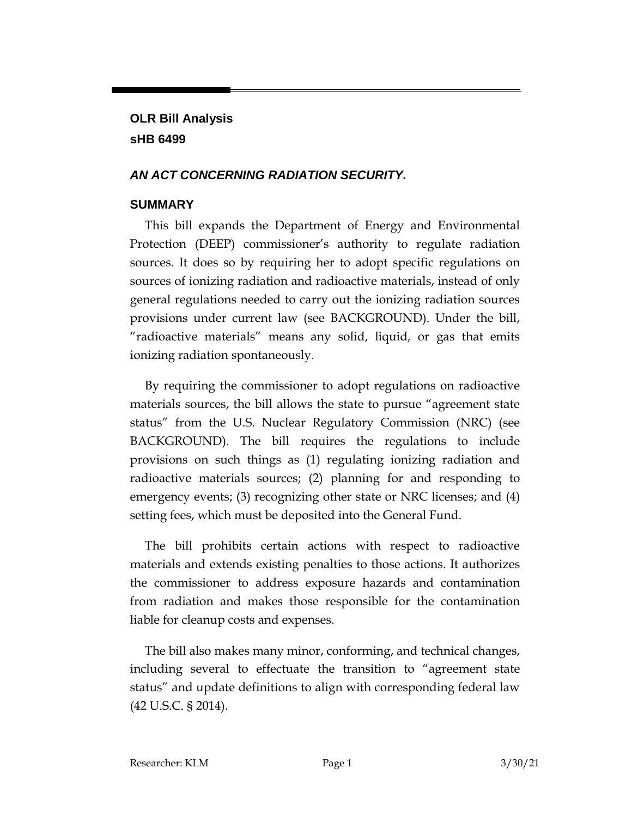# **OLR Bill Analysis sHB 6499**

# *AN ACT CONCERNING RADIATION SECURITY.*

# **SUMMARY**

This bill expands the Department of Energy and Environmental Protection (DEEP) commissioner's authority to regulate radiation sources. It does so by requiring her to adopt specific regulations on sources of ionizing radiation and radioactive materials, instead of only general regulations needed to carry out the ionizing radiation sources provisions under current law (see BACKGROUND). Under the bill, "radioactive materials" means any solid, liquid, or gas that emits ionizing radiation spontaneously.

By requiring the commissioner to adopt regulations on radioactive materials sources, the bill allows the state to pursue "agreement state status" from the U.S. Nuclear Regulatory Commission (NRC) (see BACKGROUND). The bill requires the regulations to include provisions on such things as (1) regulating ionizing radiation and radioactive materials sources; (2) planning for and responding to emergency events; (3) recognizing other state or NRC licenses; and (4) setting fees, which must be deposited into the General Fund.

The bill prohibits certain actions with respect to radioactive materials and extends existing penalties to those actions. It authorizes the commissioner to address exposure hazards and contamination from radiation and makes those responsible for the contamination liable for cleanup costs and expenses.

The bill also makes many minor, conforming, and technical changes, including several to effectuate the transition to "agreement state status" and update definitions to align with corresponding federal law (42 U.S.C. § 2014).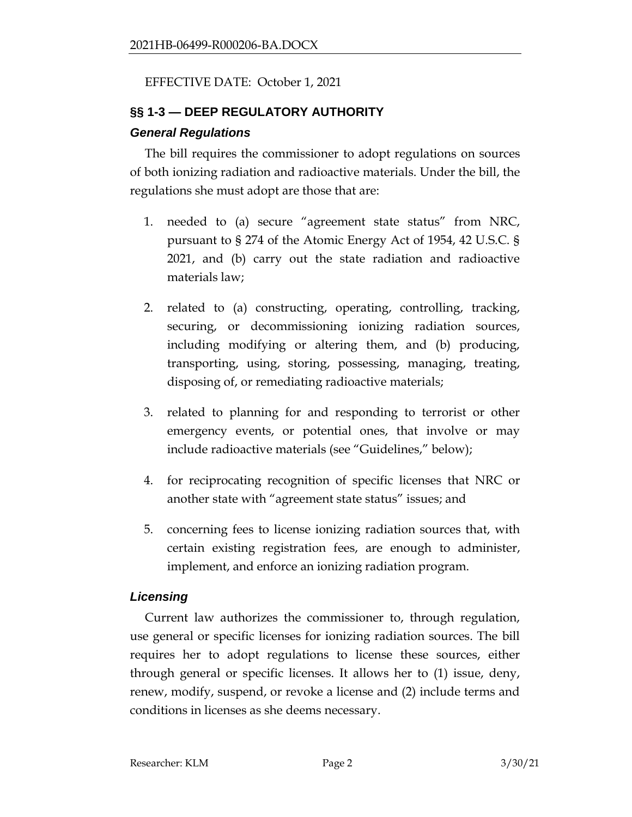### EFFECTIVE DATE: October 1, 2021

# **§§ 1-3 — DEEP REGULATORY AUTHORITY**

#### *General Regulations*

The bill requires the commissioner to adopt regulations on sources of both ionizing radiation and radioactive materials. Under the bill, the regulations she must adopt are those that are:

- 1. needed to (a) secure "agreement state status" from NRC, pursuant to § 274 of the Atomic Energy Act of 1954, 42 U.S.C. § 2021, and (b) carry out the state radiation and radioactive materials law;
- 2. related to (a) constructing, operating, controlling, tracking, securing, or decommissioning ionizing radiation sources, including modifying or altering them, and (b) producing, transporting, using, storing, possessing, managing, treating, disposing of, or remediating radioactive materials;
- 3. related to planning for and responding to terrorist or other emergency events, or potential ones, that involve or may include radioactive materials (see "Guidelines," below);
- 4. for reciprocating recognition of specific licenses that NRC or another state with "agreement state status" issues; and
- 5. concerning fees to license ionizing radiation sources that, with certain existing registration fees, are enough to administer, implement, and enforce an ionizing radiation program.

### *Licensing*

Current law authorizes the commissioner to, through regulation, use general or specific licenses for ionizing radiation sources. The bill requires her to adopt regulations to license these sources, either through general or specific licenses. It allows her to (1) issue, deny, renew, modify, suspend, or revoke a license and (2) include terms and conditions in licenses as she deems necessary.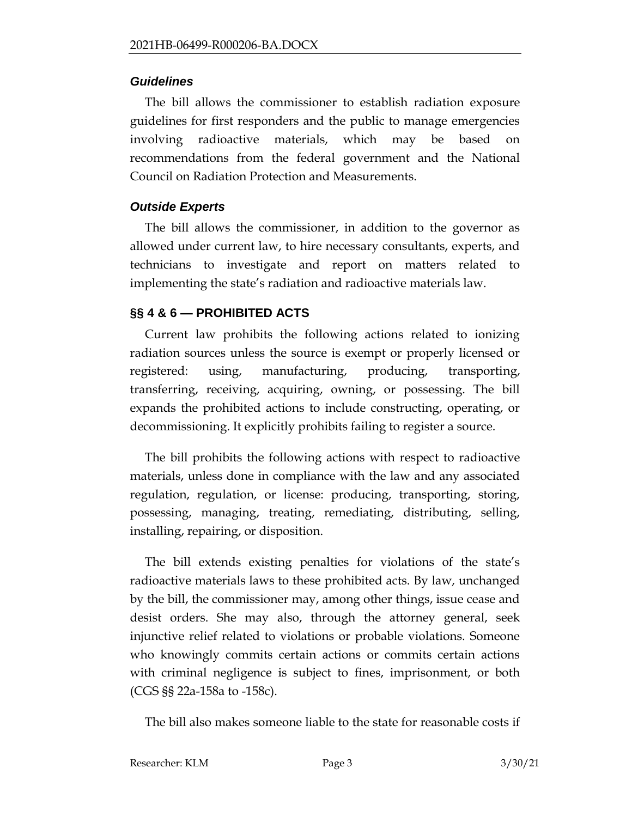#### *Guidelines*

The bill allows the commissioner to establish radiation exposure guidelines for first responders and the public to manage emergencies involving radioactive materials, which may be based on recommendations from the federal government and the National Council on Radiation Protection and Measurements.

# *Outside Experts*

The bill allows the commissioner, in addition to the governor as allowed under current law, to hire necessary consultants, experts, and technicians to investigate and report on matters related to implementing the state's radiation and radioactive materials law.

# **§§ 4 & 6 — PROHIBITED ACTS**

Current law prohibits the following actions related to ionizing radiation sources unless the source is exempt or properly licensed or registered: using, manufacturing, producing, transporting, transferring, receiving, acquiring, owning, or possessing. The bill expands the prohibited actions to include constructing, operating, or decommissioning. It explicitly prohibits failing to register a source.

The bill prohibits the following actions with respect to radioactive materials, unless done in compliance with the law and any associated regulation, regulation, or license: producing, transporting, storing, possessing, managing, treating, remediating, distributing, selling, installing, repairing, or disposition.

The bill extends existing penalties for violations of the state's radioactive materials laws to these prohibited acts. By law, unchanged by the bill, the commissioner may, among other things, issue cease and desist orders. She may also, through the attorney general, seek injunctive relief related to violations or probable violations. Someone who knowingly commits certain actions or commits certain actions with criminal negligence is subject to fines, imprisonment, or both (CGS §§ 22a-158a to -158c).

The bill also makes someone liable to the state for reasonable costs if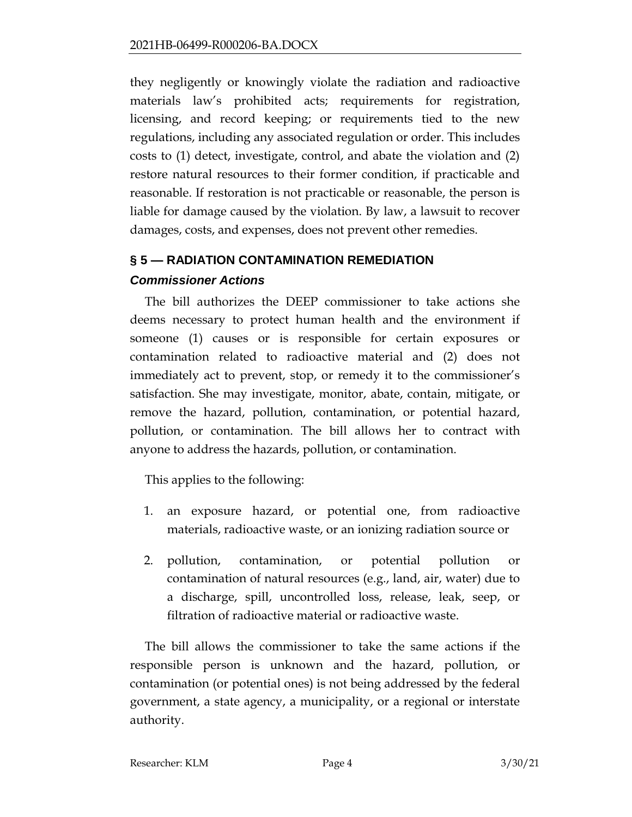they negligently or knowingly violate the radiation and radioactive materials law's prohibited acts; requirements for registration, licensing, and record keeping; or requirements tied to the new regulations, including any associated regulation or order. This includes costs to (1) detect, investigate, control, and abate the violation and (2) restore natural resources to their former condition, if practicable and reasonable. If restoration is not practicable or reasonable, the person is liable for damage caused by the violation. By law, a lawsuit to recover damages, costs, and expenses, does not prevent other remedies.

### **§ 5 — RADIATION CONTAMINATION REMEDIATION**

# *Commissioner Actions*

The bill authorizes the DEEP commissioner to take actions she deems necessary to protect human health and the environment if someone (1) causes or is responsible for certain exposures or contamination related to radioactive material and (2) does not immediately act to prevent, stop, or remedy it to the commissioner's satisfaction. She may investigate, monitor, abate, contain, mitigate, or remove the hazard, pollution, contamination, or potential hazard, pollution, or contamination. The bill allows her to contract with anyone to address the hazards, pollution, or contamination.

This applies to the following:

- 1. an exposure hazard, or potential one, from radioactive materials, radioactive waste, or an ionizing radiation source or
- 2. pollution, contamination, or potential pollution or contamination of natural resources (e.g., land, air, water) due to a discharge, spill, uncontrolled loss, release, leak, seep, or filtration of radioactive material or radioactive waste.

The bill allows the commissioner to take the same actions if the responsible person is unknown and the hazard, pollution, or contamination (or potential ones) is not being addressed by the federal government, a state agency, a municipality, or a regional or interstate authority.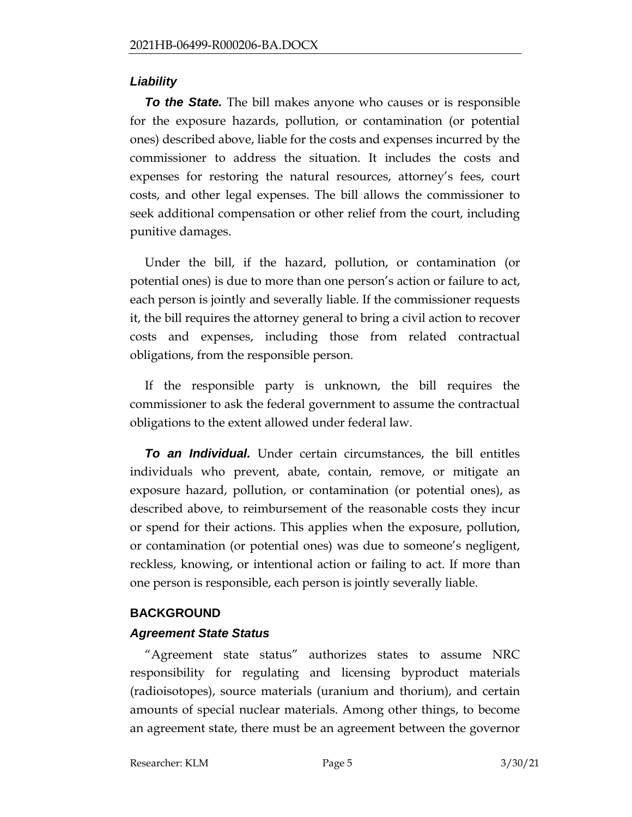# *Liability*

*To the State.* The bill makes anyone who causes or is responsible for the exposure hazards, pollution, or contamination (or potential ones) described above, liable for the costs and expenses incurred by the commissioner to address the situation. It includes the costs and expenses for restoring the natural resources, attorney's fees, court costs, and other legal expenses. The bill allows the commissioner to seek additional compensation or other relief from the court, including punitive damages.

Under the bill, if the hazard, pollution, or contamination (or potential ones) is due to more than one person's action or failure to act, each person is jointly and severally liable. If the commissioner requests it, the bill requires the attorney general to bring a civil action to recover costs and expenses, including those from related contractual obligations, from the responsible person.

If the responsible party is unknown, the bill requires the commissioner to ask the federal government to assume the contractual obligations to the extent allowed under federal law.

*To an Individual.* Under certain circumstances, the bill entitles individuals who prevent, abate, contain, remove, or mitigate an exposure hazard, pollution, or contamination (or potential ones), as described above, to reimbursement of the reasonable costs they incur or spend for their actions. This applies when the exposure, pollution, or contamination (or potential ones) was due to someone's negligent, reckless, knowing, or intentional action or failing to act. If more than one person is responsible, each person is jointly severally liable.

# **BACKGROUND**

### *Agreement State Status*

"Agreement state status" authorizes states to assume NRC responsibility for regulating and licensing byproduct materials (radioisotopes), source materials (uranium and thorium), and certain amounts of special nuclear materials. Among other things, to become an agreement state, there must be an agreement between the governor